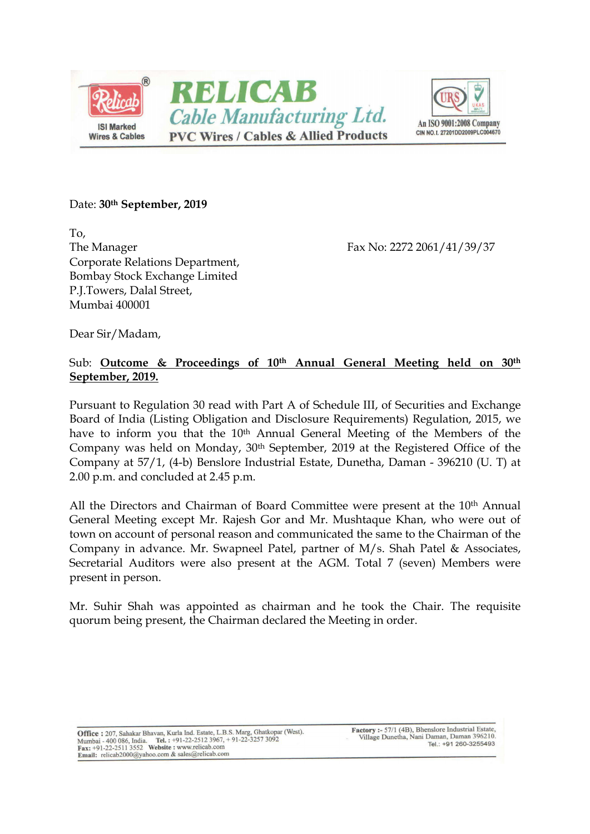



#### Date: 30<sup>th</sup> September, 2019

To, The Manager Fax No: 2272 2061/41/39/37 Corporate Relations Department, Bombay Stock Exchange Limited P.J.Towers, Dalal Street, Mumbai 400001

Dear Sir/Madam,

### Sub: Outcome & Proceedings of 10<sup>th</sup> Annual General Meeting held on 30<sup>th</sup> September, 2019.

Pursuant to Regulation 30 read with Part A of Schedule III, of Securities and Exchange Board of India (Listing Obligation and Disclosure Requirements) Regulation, 2015, we have to inform you that the 10<sup>th</sup> Annual General Meeting of the Members of the Company was held on Monday, 30th September, 2019 at the Registered Office of the Company at 57/1, (4-b) Benslore Industrial Estate, Dunetha, Daman - 396210 (U. T) at 2.00 p.m. and concluded at 2.45 p.m.

All the Directors and Chairman of Board Committee were present at the 10<sup>th</sup> Annual General Meeting except Mr. Rajesh Gor and Mr. Mushtaque Khan, who were out of town on account of personal reason and communicated the same to the Chairman of the Company in advance. Mr. Swapneel Patel, partner of M/s. Shah Patel & Associates, Secretarial Auditors were also present at the AGM. Total 7 (seven) Members were present in person.

Mr. Suhir Shah was appointed as chairman and he took the Chair. The requisite quorum being present, the Chairman declared the Meeting in order.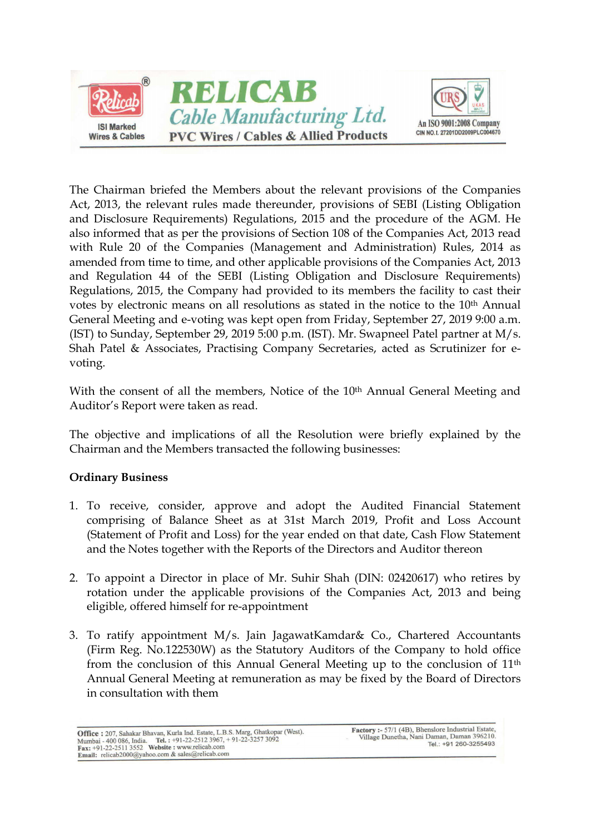

The Chairman briefed the Members about the relevant provisions of the Companies Act, 2013, the relevant rules made thereunder, provisions of SEBI (Listing Obligation and Disclosure Requirements) Regulations, 2015 and the procedure of the AGM. He also informed that as per the provisions of Section 108 of the Companies Act, 2013 read with Rule 20 of the Companies (Management and Administration) Rules, 2014 as amended from time to time, and other applicable provisions of the Companies Act, 2013 and Regulation 44 of the SEBI (Listing Obligation and Disclosure Requirements) Regulations, 2015, the Company had provided to its members the facility to cast their votes by electronic means on all resolutions as stated in the notice to the 10<sup>th</sup> Annual General Meeting and e-voting was kept open from Friday, September 27, 2019 9:00 a.m. (IST) to Sunday, September 29, 2019 5:00 p.m. (IST). Mr. Swapneel Patel partner at M/s. Shah Patel & Associates, Practising Company Secretaries, acted as Scrutinizer for evoting.

With the consent of all the members, Notice of the 10<sup>th</sup> Annual General Meeting and Auditor's Report were taken as read.

The objective and implications of all the Resolution were briefly explained by the Chairman and the Members transacted the following businesses:

# Ordinary Business

- 1. To receive, consider, approve and adopt the Audited Financial Statement comprising of Balance Sheet as at 31st March 2019, Profit and Loss Account (Statement of Profit and Loss) for the year ended on that date, Cash Flow Statement and the Notes together with the Reports of the Directors and Auditor thereon
- 2. To appoint a Director in place of Mr. Suhir Shah (DIN: 02420617) who retires by rotation under the applicable provisions of the Companies Act, 2013 and being eligible, offered himself for re-appointment
- 3. To ratify appointment M/s. Jain JagawatKamdar& Co., Chartered Accountants (Firm Reg. No.122530W) as the Statutory Auditors of the Company to hold office from the conclusion of this Annual General Meeting up to the conclusion of 11th Annual General Meeting at remuneration as may be fixed by the Board of Directors in consultation with them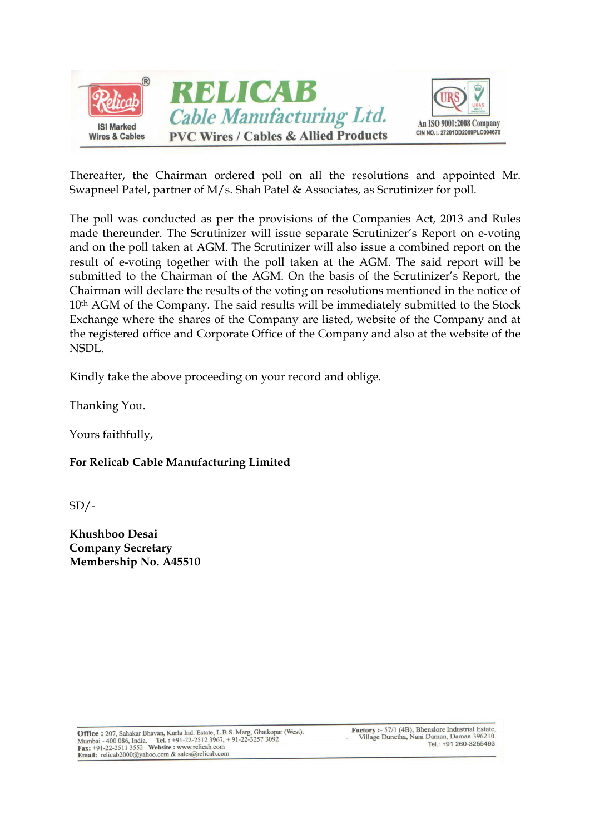



Thereafter, the Chairman ordered poll on all the resolutions and appointed Mr. Swapneel Patel, partner of M/s. Shah Patel & Associates, as Scrutinizer for poll.

The poll was conducted as per the provisions of the Companies Act, 2013 and Rules made thereunder. The Scrutinizer will issue separate Scrutinizer's Report on e-voting and on the poll taken at AGM. The Scrutinizer will also issue a combined report on the result of e-voting together with the poll taken at the AGM. The said report will be submitted to the Chairman of the AGM. On the basis of the Scrutinizer's Report, the Chairman will declare the results of the voting on resolutions mentioned in the notice of  $10<sup>th</sup>$  AGM of the Company. The said results will be immediately submitted to the Stock Exchange where the shares of the Company are listed, website of the Company and at the registered office and Corporate Office of the Company and also at the website of the NSDL.

Kindly take the above proceeding on your record and oblige.

Thanking You.

Yours faithfully,

# For Relicab Cable Manufacturing Limited

 $SD/-$ 

Khushboo Desai Company Secretary Membership No. A45510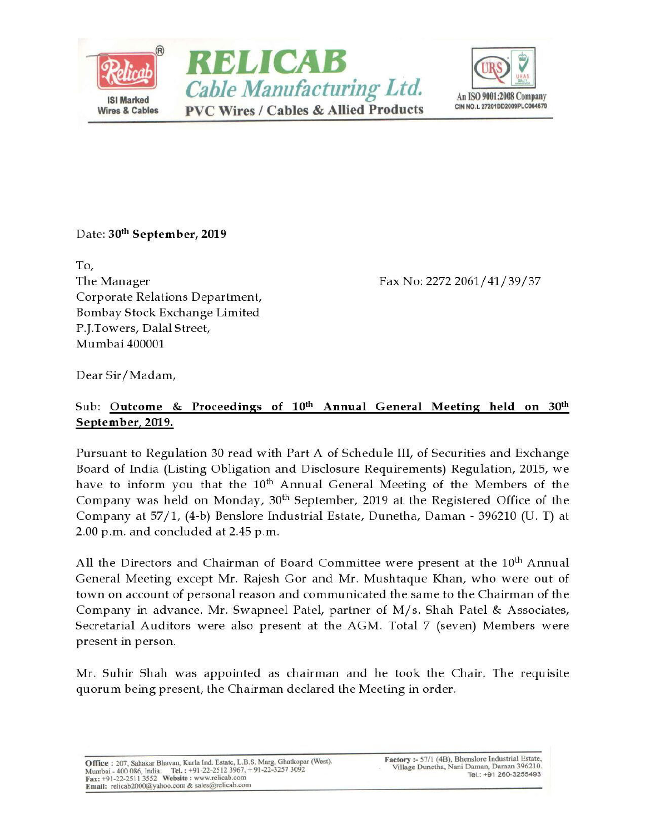



### Date: 30th September, 2019

To, The Manager Corporate Relations Department, Bombay Stock Exchange Limited P.J.Towers, Dalal Street, Mumbai 400001

Fax No: 2272 2061/41/39/37

Dear Sir/Madam,

# Sub: Outcome & Proceedings of 10th Annual General Meeting held on 30th September, 2019.

Pursuant to Regulation 30 read with Part A of Schedule III, of Securities and Exchange Board of India (Listing Obligation and Disclosure Requirements) Regulation, 2015, we have to inform you that the 10<sup>th</sup> Annual General Meeting of the Members of the Company was held on Monday, 30<sup>th</sup> September, 2019 at the Registered Office of the Company at 57/1, (4-b) Benslore Industrial Estate, Dunetha, Daman - 396210 (U. T) at 2.00 p.m. and concluded at 2.45 p.m.

All the Directors and Chairman of Board Committee were present at the 10<sup>th</sup> Annual General Meeting except Mr. Rajesh Gor and Mr. Mushtaque Khan, who were out of town on account of personal reason and communicated the same to the Chairman of the Company in advance. Mr. Swapneel Patel, partner of M/s. Shah Patel & Associates, Secretarial Auditors were also present at the AGM. Total 7 (seven) Members were present in person.

Mr. Suhir Shah was appointed as chairman and he took the Chair. The requisite quorum being present, the Chairman declared the Meeting in order.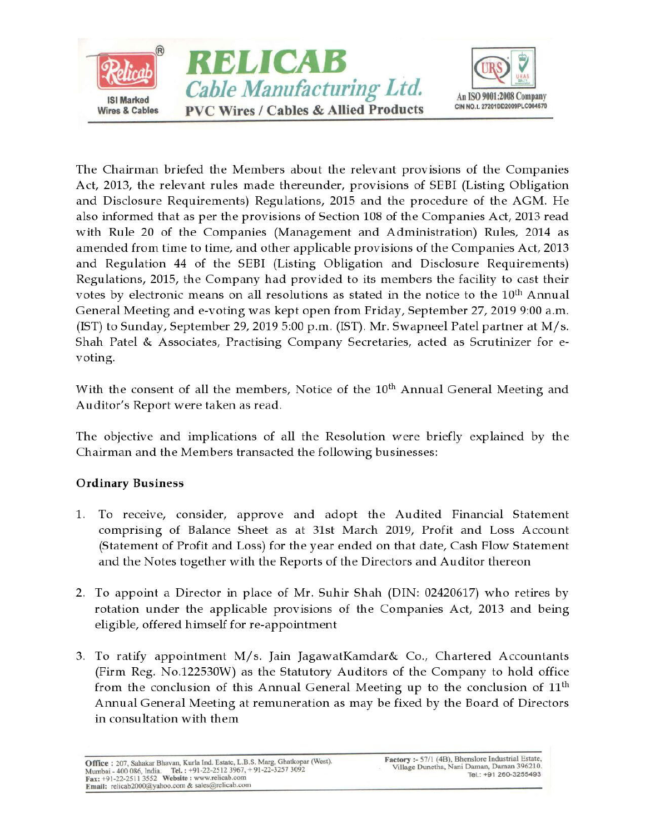

The Chairman briefed the Members about the relevant provisions of the Companies Act, 2013, the relevant rules made thereunder, provisions of SEBI (Listing Obligation and Disclosure Requirements) Regulations, 2015 and the procedure of the AGM. He also informed that as per the provisions of Section 108 of the Companies Act, 2013 read with Rule 20 of the Companies (Management and Administration) Rules, 2014 as amended from time to time, and other applicable provisions of the Companies Act, 2013 and Regulation 44 of the SEBI (Listing Obligation and Disclosure Requirements) Regulations, 2015, the Company had provided to its members the facility to cast their votes by electronic means on all resolutions as stated in the notice to the 10<sup>th</sup> Annual General Meeting and e-voting was kept open from Friday, September 27, 2019 9:00 a.m. (IST) to Sunday, September 29, 2019 5:00 p.m. (IST). Mr. Swapneel Patel partner at  $M/s$ . Shah Patel & Associates, Practising Company Secretaries, acted as Scrutinizer for evoting.

With the consent of all the members, Notice of the 10<sup>th</sup> Annual General Meeting and Auditor's Report were taken as read.

The objective and implications of all the Resolution were briefly explained by the Chairman and the Members transacted the following businesses:

# **Ordinary Business**

- 1. To receive, consider, approve and adopt the Audited Financial Statement comprising of Balance Sheet as at 31st March 2019, Profit and Loss Account (Statement of Profit and Loss) for the year ended on that date, Cash Flow Statement and the Notes together with the Reports of the Directors and Auditor thereon
- 2. To appoint a Director in place of Mr. Suhir Shah (DIN: 02420617) who retires by rotation under the applicable provisions of the Companies Act, 2013 and being eligible, offered himself for re-appointment
- 3. To ratify appointment M/s. Jain JagawatKamdar& Co., Chartered Accountants (Firm Reg. No.122530W) as the Statutory Auditors of the Company to hold office from the conclusion of this Annual General Meeting up to the conclusion of 11<sup>th</sup> Annual General Meeting at remuneration as may be fixed by the Board of Directors in consultation with them